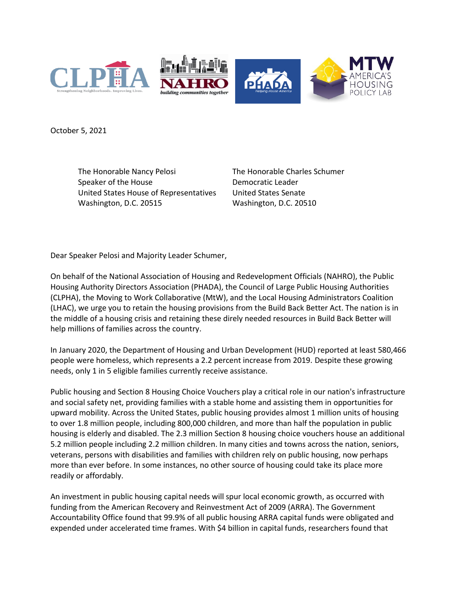

October 5, 2021

The Honorable Nancy Pelosi Speaker of the House United States House of Representatives Washington, D.C. 20515

The Honorable Charles Schumer Democratic Leader United States Senate Washington, D.C. 20510

Dear Speaker Pelosi and Majority Leader Schumer,

On behalf of the National Association of Housing and Redevelopment Officials (NAHRO), the Public Housing Authority Directors Association (PHADA), the Council of Large Public Housing Authorities (CLPHA), the Moving to Work Collaborative (MtW), and the Local Housing Administrators Coalition (LHAC), we urge you to retain the housing provisions from the Build Back Better Act. The nation is in the middle of a housing crisis and retaining these direly needed resources in Build Back Better will help millions of families across the country.

In January 2020, the Department of Housing and Urban Development (HUD) reported at least 580,466 people were homeless, which represents a 2.2 percent increase from 2019. Despite these growing needs, only 1 in 5 eligible families currently receive assistance.

Public housing and Section 8 Housing Choice Vouchers play a critical role in our nation's infrastructure and social safety net, providing families with a stable home and assisting them in opportunities for upward mobility. Across the United States, public housing provides almost 1 million units of housing to over 1.8 million people, including 800,000 children, and more than half the population in public housing is elderly and disabled. The 2.3 million Section 8 housing choice vouchers house an additional 5.2 million people including 2.2 million children. In many cities and towns across the nation, seniors, veterans, persons with disabilities and families with children rely on public housing, now perhaps more than ever before. In some instances, no other source of housing could take its place more readily or affordably.

An investment in public housing capital needs will spur local economic growth, as occurred with funding from the American Recovery and Reinvestment Act of 2009 (ARRA). The Government Accountability Office found that 99.9% of all public housing ARRA capital funds were obligated and expended under accelerated time frames. With \$4 billion in capital funds, researchers found that